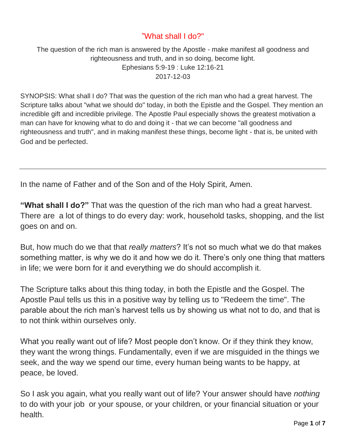## "What shall I do?"

The question of the rich man is answered by the Apostle - make manifest all goodness and righteousness and truth, and in so doing, become light. Ephesians 5:9-19 : Luke 12:16-21 2017-12-03

SYNOPSIS: What shall I do? That was the question of the rich man who had a great harvest. The Scripture talks about "what we should do" today, in both the Epistle and the Gospel. They mention an incredible gift and incredible privilege. The Apostle Paul especially shows the greatest motivation a man can have for knowing what to do and doing it - that we can become "all goodness and righteousness and truth", and in making manifest these things, become light - that is, be united with God and be perfected.

In the name of Father and of the Son and of the Holy Spirit, Amen.

**"What shall I do?"** That was the question of the rich man who had a great harvest. There are a lot of things to do every day: work, household tasks, shopping, and the list goes on and on.

But, how much do we that that *really matters*? It's not so much what we do that makes something matter, is why we do it and how we do it. There's only one thing that matters in life; we were born for it and everything we do should accomplish it.

The Scripture talks about this thing today, in both the Epistle and the Gospel. The Apostle Paul tells us this in a positive way by telling us to "Redeem the time". The parable about the rich man's harvest tells us by showing us what not to do, and that is to not think within ourselves only.

What you really want out of life? Most people don't know. Or if they think they know, they want the wrong things. Fundamentally, even if we are misguided in the things we seek, and the way we spend our time, every human being wants to be happy, at peace, be loved.

So I ask you again, what you really want out of life? Your answer should have *nothing*  to do with your job or your spouse, or your children, or your financial situation or your health.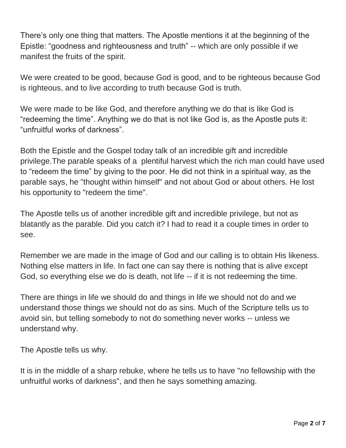There's only one thing that matters. The Apostle mentions it at the beginning of the Epistle: "goodness and righteousness and truth" -- which are only possible if we manifest the fruits of the spirit.

We were created to be good, because God is good, and to be righteous because God is righteous, and to live according to truth because God is truth.

We were made to be like God, and therefore anything we do that is like God is "redeeming the time". Anything we do that is not like God is, as the Apostle puts it: "unfruitful works of darkness".

Both the Epistle and the Gospel today talk of an incredible gift and incredible privilege.The parable speaks of a plentiful harvest which the rich man could have used to "redeem the time" by giving to the poor. He did not think in a spiritual way, as the parable says, he "thought within himself" and not about God or about others. He lost his opportunity to "redeem the time".

The Apostle tells us of another incredible gift and incredible privilege, but not as blatantly as the parable. Did you catch it? I had to read it a couple times in order to see.

Remember we are made in the image of God and our calling is to obtain His likeness. Nothing else matters in life. In fact one can say there is nothing that is alive except God, so everything else we do is death, not life -- if it is not redeeming the time.

There are things in life we should do and things in life we should not do and we understand those things we should not do as sins. Much of the Scripture tells us to avoid sin, but telling somebody to not do something never works -- unless we understand why.

The Apostle tells us why.

It is in the middle of a sharp rebuke, where he tells us to have "no fellowship with the unfruitful works of darkness", and then he says something amazing.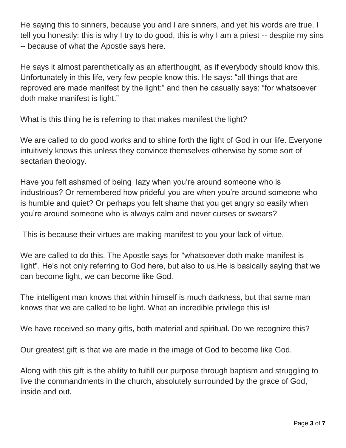He saying this to sinners, because you and I are sinners, and yet his words are true. I tell you honestly: this is why I try to do good, this is why I am a priest -- despite my sins -- because of what the Apostle says here.

He says it almost parenthetically as an afterthought, as if everybody should know this. Unfortunately in this life, very few people know this. He says: "all things that are reproved are made manifest by the light:" and then he casually says: "for whatsoever doth make manifest is light."

What is this thing he is referring to that makes manifest the light?

We are called to do good works and to shine forth the light of God in our life. Everyone intuitively knows this unless they convince themselves otherwise by some sort of sectarian theology.

Have you felt ashamed of being lazy when you're around someone who is industrious? Or remembered how prideful you are when you're around someone who is humble and quiet? Or perhaps you felt shame that you get angry so easily when you're around someone who is always calm and never curses or swears?

This is because their virtues are making manifest to you your lack of virtue.

We are called to do this. The Apostle says for "whatsoever doth make manifest is light". He's not only referring to God here, but also to us.He is basically saying that we can become light, we can become like God.

The intelligent man knows that within himself is much darkness, but that same man knows that we are called to be light. What an incredible privilege this is!

We have received so many gifts, both material and spiritual. Do we recognize this?

Our greatest gift is that we are made in the image of God to become like God.

Along with this gift is the ability to fulfill our purpose through baptism and struggling to live the commandments in the church, absolutely surrounded by the grace of God, inside and out.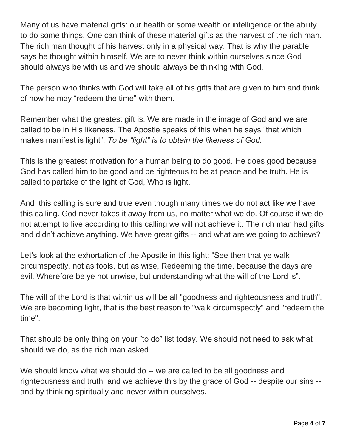Many of us have material gifts: our health or some wealth or intelligence or the ability to do some things. One can think of these material gifts as the harvest of the rich man. The rich man thought of his harvest only in a physical way. That is why the parable says he thought within himself. We are to never think within ourselves since God should always be with us and we should always be thinking with God.

The person who thinks with God will take all of his gifts that are given to him and think of how he may "redeem the time" with them.

Remember what the greatest gift is. We are made in the image of God and we are called to be in His likeness. The Apostle speaks of this when he says "that which makes manifest is light". *To be "light" is to obtain the likeness of God.* 

This is the greatest motivation for a human being to do good. He does good because God has called him to be good and be righteous to be at peace and be truth. He is called to partake of the light of God, Who is light.

And this calling is sure and true even though many times we do not act like we have this calling. God never takes it away from us, no matter what we do. Of course if we do not attempt to live according to this calling we will not achieve it. The rich man had gifts and didn't achieve anything. We have great gifts -- and what are we going to achieve?

Let's look at the exhortation of the Apostle in this light: "See then that ye walk circumspectly, not as fools, but as wise, Redeeming the time, because the days are evil. Wherefore be ye not unwise, but understanding what the will of the Lord is".

The will of the Lord is that within us will be all "goodness and righteousness and truth". We are becoming light, that is the best reason to "walk circumspectly" and "redeem the time".

That should be only thing on your "to do" list today. We should not need to ask what should we do, as the rich man asked.

We should know what we should do -- we are called to be all goodness and righteousness and truth, and we achieve this by the grace of God -- despite our sins - and by thinking spiritually and never within ourselves.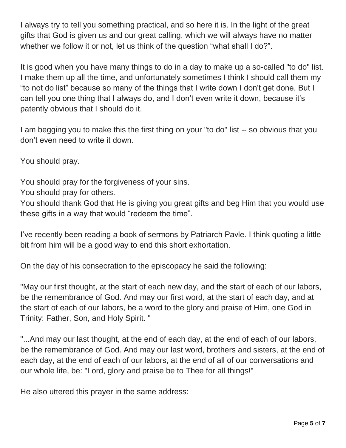I always try to tell you something practical, and so here it is. In the light of the great gifts that God is given us and our great calling, which we will always have no matter whether we follow it or not, let us think of the question "what shall I do?".

It is good when you have many things to do in a day to make up a so-called "to do" list. I make them up all the time, and unfortunately sometimes I think I should call them my "to not do list" because so many of the things that I write down I don't get done. But I can tell you one thing that I always do, and I don't even write it down, because it's patently obvious that I should do it.

I am begging you to make this the first thing on your "to do" list -- so obvious that you don't even need to write it down.

You should pray.

You should pray for the forgiveness of your sins.

You should pray for others.

You should thank God that He is giving you great gifts and beg Him that you would use these gifts in a way that would "redeem the time".

I've recently been reading a book of sermons by Patriarch Pavle. I think quoting a little bit from him will be a good way to end this short exhortation.

On the day of his consecration to the episcopacy he said the following:

"May our first thought, at the start of each new day, and the start of each of our labors, be the remembrance of God. And may our first word, at the start of each day, and at the start of each of our labors, be a word to the glory and praise of Him, one God in Trinity: Father, Son, and Holy Spirit. "

"...And may our last thought, at the end of each day, at the end of each of our labors, be the remembrance of God. And may our last word, brothers and sisters, at the end of each day, at the end of each of our labors, at the end of all of our conversations and our whole life, be: "Lord, glory and praise be to Thee for all things!"

He also uttered this prayer in the same address: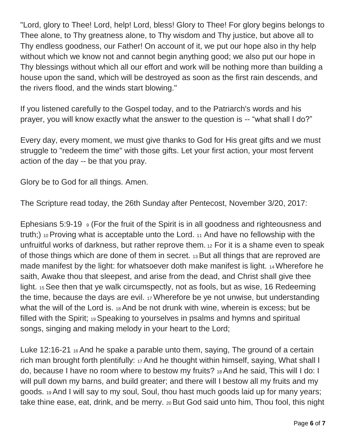"Lord, glory to Thee! Lord, help! Lord, bless! Glory to Thee! For glory begins belongs to Thee alone, to Thy greatness alone, to Thy wisdom and Thy justice, but above all to Thy endless goodness, our Father! On account of it, we put our hope also in thy help without which we know not and cannot begin anything good; we also put our hope in Thy blessings without which all our effort and work will be nothing more than building a house upon the sand, which will be destroyed as soon as the first rain descends, and the rivers flood, and the winds start blowing."

If you listened carefully to the Gospel today, and to the Patriarch's words and his prayer, you will know exactly what the answer to the question is -- "what shall I do?"

Every day, every moment, we must give thanks to God for His great gifts and we must struggle to "redeem the time" with those gifts. Let your first action, your most fervent action of the day -- be that you pray.

Glory be to God for all things. Amen.

The Scripture read today, the 26th Sunday after Pentecost, November 3/20, 2017:

Ephesians 5:9-19  $\sqrt{9}$  (For the fruit of the Spirit is in all goodness and righteousness and truth;) 10 Proving what is acceptable unto the Lord. <sup>11</sup> And have no fellowship with the unfruitful works of darkness, but rather reprove them. <sup>12</sup> For it is a shame even to speak of those things which are done of them in secret. 13 But all things that are reproved are made manifest by the light: for whatsoever doth make manifest is light. 14 Wherefore he saith, Awake thou that sleepest, and arise from the dead, and Christ shall give thee light. 15See then that ye walk circumspectly, not as fools, but as wise, 16 Redeeming the time, because the days are evil. 17 Wherefore be ye not unwise, but understanding what the will of the Lord is. 18 And be not drunk with wine, wherein is excess; but be filled with the Spirit; 19 Speaking to yourselves in psalms and hymns and spiritual songs, singing and making melody in your heart to the Lord;

Luke 12:16-21 16 And he spake a parable unto them, saying, The ground of a certain rich man brought forth plentifully: 17 And he thought within himself, saying, What shall I do, because I have no room where to bestow my fruits? 18 And he said, This will I do: I will pull down my barns, and build greater; and there will I bestow all my fruits and my goods. 19 And I will say to my soul, Soul, thou hast much goods laid up for many years; take thine ease, eat, drink, and be merry. 20 But God said unto him, Thou fool, this night